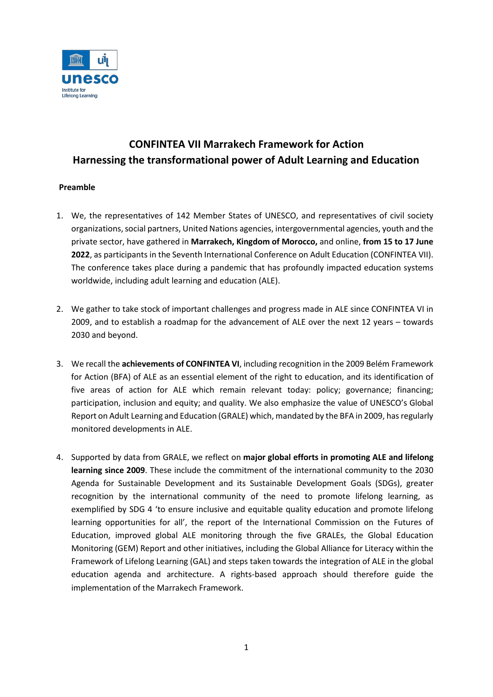

# **CONFINTEA VII Marrakech Framework for Action Harnessing the transformational power of Adult Learning and Education**

# **Preamble**

- 1. We, the representatives of 142 Member States of UNESCO, and representatives of civil society organizations, social partners, United Nations agencies, intergovernmental agencies, youth and the private sector, have gathered in **Marrakech, Kingdom of Morocco,** and online, **from 15 to 17 June 2022**, as participants in the Seventh International Conference on Adult Education (CONFINTEA VII). The conference takes place during a pandemic that has profoundly impacted education systems worldwide, including adult learning and education (ALE).
- 2. We gather to take stock of important challenges and progress made in ALE since CONFINTEA VI in 2009, and to establish a roadmap for the advancement of ALE over the next 12 years – towards 2030 and beyond.
- 3. We recall the **achievements of CONFINTEA VI**, including recognition in the 2009 Belém Framework for Action (BFA) of ALE as an essential element of the right to education, and its identification of five areas of action for ALE which remain relevant today: policy; governance; financing; participation, inclusion and equity; and quality. We also emphasize the value of UNESCO's Global Report on Adult Learning and Education [\(GRALE\) w](https://uil.unesco.org/adult-education/global-report)hich, mandated by the BFA in 2009, has regularly monitored developments in ALE.
- 4. Supported by data from GRALE, we reflect on **major global efforts in promoting ALE and lifelong learning since 2009**. These include the commitment of the international community to the 2030 Agenda for Sustainable Development and its Sustainable Development Goals (SDGs), greater recognition by the international community of the need to promote lifelong learning, as exemplified by SDG 4 'to ensure inclusive and equitable quality education and promote lifelong learning opportunities for all', the report of the International Commission on the Futures of Education, improved global ALE monitoring through the five GRALEs, the Global Education Monitoring (GEM) Report and other initiatives, including the Global Alliance for Literacy within the Framework of Lifelong Learning (GAL) and steps taken towards the integration of ALE in the global education agenda and architecture. A rights-based approach should therefore guide the implementation of the Marrakech Framework.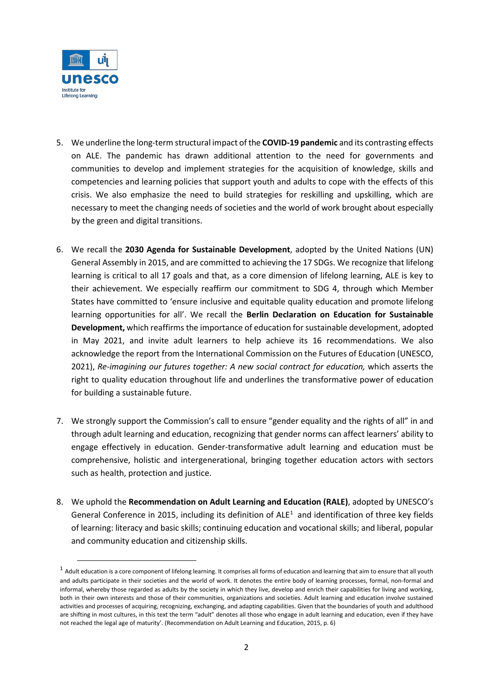

- 5. We underline the long-term structural impact of the **COVID-19 pandemic** and its contrasting effects on ALE. The pandemic has drawn additional attention to the need for governments and communities to develop and implement strategies for the acquisition of knowledge, skills and competencies and learning policies that support youth and adults to cope with the effects of this crisis. We also emphasize the need to build strategies for reskilling and upskilling, which are necessary to meet the changing needs of societies and the world of work brought about especially by the green and digital transitions.
- 6. We recall the **2030 Agenda for Sustainable Development**, adopted by the United Nations (UN) General Assembly in 2015, and are committed to achieving the 17 SDGs. We recognize that lifelong learning is critical to all 17 goals and that, as a core dimension of lifelong learning, ALE is key to their achievement. We especially reaffirm our commitment to SDG 4, through which Member States have committed to 'ensure inclusive and equitable quality education and promote lifelong learning opportunities for all'. We recall the **Berlin Declaration on Education for Sustainable Development,** which reaffirms the importance of education forsustainable development, adopted in May 2021, and invite adult learners to help achieve its 16 recommendations. We also acknowledge the report from the International Commission on the Futures of Education (UNESCO, 2021)[,](https://unesdoc.unesco.org/ark:/48223/pf0000379707) *[Re-imagining our futures together: A new social contract for education,](https://unesdoc.unesco.org/ark:/48223/pf0000379707)* which asserts the right to quality education throughout life and underlines the transformative power of education for building a sustainable future.
- 7. We strongly support the Commission's call to ensure "gender equality and the rights of all" in and through adult learning and education, recognizing that gender norms can affect learners' ability to engage effectively in education. Gender-transformative adult learning and education must be comprehensive, holistic and intergenerational, bringing together education actors with sectors such as health, protection and justice.
- 8. We uphold the **[Recommendation on Adult Learning and Education \(](https://unesdoc.unesco.org/ark:/48223/pf0000245179)RALE)**, adopted by UNESCO's General Conference in 20[1](#page-1-0)5, including its definition of  $ALE<sup>1</sup>$  and identification of three key fields of learning: literacy and basic skills; continuing education and vocational skills; and liberal, popular and community education and citizenship skills.

<span id="page-1-0"></span> $1$  Adult education is a core component of lifelong learning. It comprises all forms of education and learning that aim to ensure that all youth and adults participate in their societies and the world of work. It denotes the entire body of learning processes, formal, non-formal and informal, whereby those regarded as adults by the society in which they live, develop and enrich their capabilities for living and working, both in their own interests and those of their communities, organizations and societies. Adult learning and education involve sustained activities and processes of acquiring, recognizing, exchanging, and adapting capabilities. Given that the boundaries of youth and adulthood are shifting in most cultures, in this text the term "adult" denotes all those who engage in adult learning and education, even if they have not reached the legal age of maturity'. (Recommendation on Adult Learning and Education, 2015, p. 6)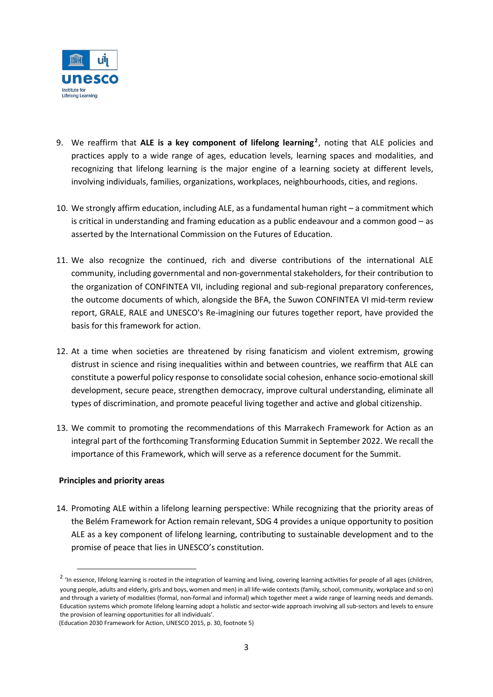

- 9. We reaffirm that ALE is a key component of lifelong learning<sup>[2](#page-2-0)</sup>, noting that ALE policies and practices apply to a wide range of ages, education levels, learning spaces and modalities, and recognizing that lifelong learning is the major engine of a learning society at different levels, involving individuals, families, organizations, workplaces, neighbourhoods, cities, and regions.
- 10. We strongly affirm education, including ALE, as a fundamental human right a commitment which is critical in understanding and framing education as a public endeavour and a common good – as asserted by the International Commission on the Futures of Education.
- 11. We also recognize the continued, rich and diverse contributions of the international ALE community, including governmental and non-governmental stakeholders, for their contribution to the organization of CONFINTEA VII, including regional and sub-regional preparatory conferences, the outcome documents of which, alongside the BFA, the Suwon CONFINTEA VI mid-term review report, GRALE, RALE and UNESCO's Re-imagining our futures together report, have provided the basis for this framework for action.
- 12. At a time when societies are threatened by rising fanaticism and violent extremism, growing distrust in science and rising inequalities within and between countries, we reaffirm that ALE can constitute a powerful policy response to consolidate social cohesion, enhance socio-emotional skill development, secure peace, strengthen democracy, improve cultural understanding, eliminate all types of discrimination, and promote peaceful living together and active and global citizenship.
- 13. We commit to promoting the recommendations of this Marrakech Framework for Action as an integral part of the forthcoming Transforming Education Summit in September 2022. We recall the importance of this Framework, which will serve as a reference document for the Summit.

# **Principles and priority areas**

14. Promoting ALE within a lifelong learning perspective: While recognizing that the priority areas of the Belém Framework for Action remain relevant, SDG 4 provides a unique opportunity to position ALE as a key component of lifelong learning, contributing to sustainable development and to the promise of peace that lies in UNESCO's constitution.

<span id="page-2-0"></span><sup>&</sup>lt;sup>2</sup> 'In essence, lifelong learning is rooted in the integration of learning and living, covering learning activities for people of all ages (children, young people, adults and elderly, girls and boys, women and men) in all life-wide contexts (family, school, community, workplace and so on) and through a variety of modalities (formal, non-formal and informal) which together meet a wide range of learning needs and demands. Education systems which promote lifelong learning adopt a holistic and sector-wide approach involving all sub-sectors and levels to ensure the provision of learning opportunities for all individuals'.

<sup>(</sup>Education 2030 Framework for Action, UNESCO 2015, p. 30, footnote 5)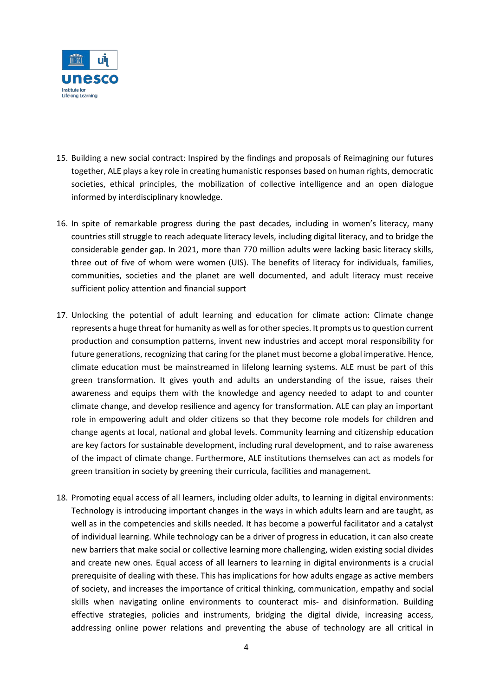

- 15. Building a new social contract: Inspired by the findings and proposals of Reimagining our futures together, ALE plays a key role in creating humanistic responses based on human rights, democratic societies, ethical principles, the mobilization of collective intelligence and an open dialogue informed by interdisciplinary knowledge.
- 16. In spite of remarkable progress during the past decades, including in women's literacy, many countries still struggle to reach adequate literacy levels, including digital literacy, and to bridge the considerable gender gap. In 2021, more than 770 million adults were lacking basic literacy skills, three out of five of whom were women (UIS). The benefits of literacy for individuals, families, communities, societies and the planet are well documented, and adult literacy must receive sufficient policy attention and financial support
- 17. Unlocking the potential of adult learning and education for climate action: Climate change represents a huge threat for humanity as well as for other species. It prompts us to question current production and consumption patterns, invent new industries and accept moral responsibility for future generations, recognizing that caring for the planet must become a global imperative. Hence, climate education must be mainstreamed in lifelong learning systems. ALE must be part of this green transformation. It gives youth and adults an understanding of the issue, raises their awareness and equips them with the knowledge and agency needed to adapt to and counter climate change, and develop resilience and agency for transformation. ALE can play an important role in empowering adult and older citizens so that they become role models for children and change agents at local, national and global levels. Community learning and citizenship education are key factors for sustainable development, including rural development, and to raise awareness of the impact of climate change. Furthermore, ALE institutions themselves can act as models for green transition in society by greening their curricula, facilities and management.
- 18. Promoting equal access of all learners, including older adults, to learning in digital environments: Technology is introducing important changes in the ways in which adults learn and are taught, as well as in the competencies and skills needed. It has become a powerful facilitator and a catalyst of individual learning. While technology can be a driver of progress in education, it can also create new barriers that make social or collective learning more challenging, widen existing social divides and create new ones. Equal access of all learners to learning in digital environments is a crucial prerequisite of dealing with these. This has implications for how adults engage as active members of society, and increases the importance of critical thinking, communication, empathy and social skills when navigating online environments to counteract mis- and disinformation. Building effective strategies, policies and instruments, bridging the digital divide, increasing access, addressing online power relations and preventing the abuse of technology are all critical in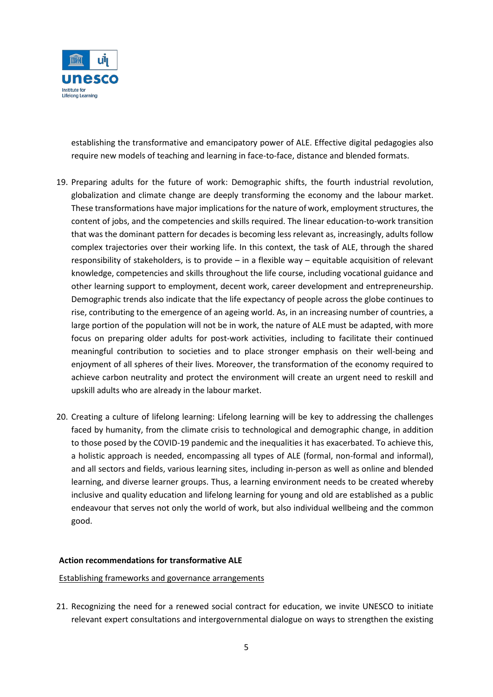

establishing the transformative and emancipatory power of ALE. Effective digital pedagogies also require new models of teaching and learning in face-to-face, distance and blended formats.

- 19. Preparing adults for the future of work: Demographic shifts, the fourth industrial revolution, globalization and climate change are deeply transforming the economy and the labour market. These transformations have major implications for the nature of work, employment structures, the content of jobs, and the competencies and skills required. The linear education-to-work transition that was the dominant pattern for decades is becoming less relevant as, increasingly, adults follow complex trajectories over their working life. In this context, the task of ALE, through the shared responsibility of stakeholders, is to provide – in a flexible way – equitable acquisition of relevant knowledge, competencies and skills throughout the life course, including vocational guidance and other learning support to employment, decent work, career development and entrepreneurship. Demographic trends also indicate that the life expectancy of people across the globe continues to rise, contributing to the emergence of an ageing world. As, in an increasing number of countries, a large portion of the population will not be in work, the nature of ALE must be adapted, with more focus on preparing older adults for post-work activities, including to facilitate their continued meaningful contribution to societies and to place stronger emphasis on their well-being and enjoyment of all spheres of their lives. Moreover, the transformation of the economy required to achieve carbon neutrality and protect the environment will create an urgent need to reskill and upskill adults who are already in the labour market.
- 20. Creating a culture of lifelong learning: Lifelong learning will be key to addressing the challenges faced by humanity, from the climate crisis to technological and demographic change, in addition to those posed by the COVID-19 pandemic and the inequalities it has exacerbated. To achieve this, a holistic approach is needed, encompassing all types of ALE (formal, non-formal and informal), and all sectors and fields, various learning sites, including in-person as well as online and blended learning, and diverse learner groups. Thus, a learning environment needs to be created whereby inclusive and quality education and lifelong learning for young and old are established as a public endeavour that serves not only the world of work, but also individual wellbeing and the common good.

### **Action recommendations for transformative ALE**

### Establishing frameworks and governance arrangements

21. Recognizing the need for a renewed social contract for education, we invite UNESCO to initiate relevant expert consultations and intergovernmental dialogue on ways to strengthen the existing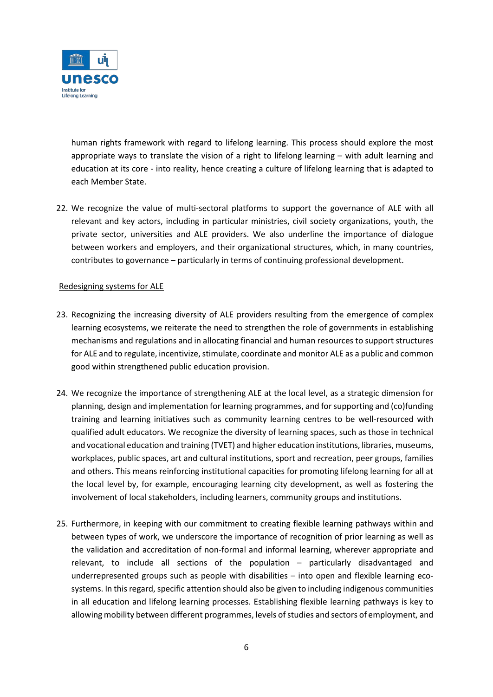

human rights framework with regard to lifelong learning. This process should explore the most appropriate ways to translate the vision of a right to lifelong learning – with adult learning and education at its core - into reality, hence creating a culture of lifelong learning that is adapted to each Member State.

22. We recognize the value of multi-sectoral platforms to support the governance of ALE with all relevant and key actors, including in particular ministries, civil society organizations, youth, the private sector, universities and ALE providers. We also underline the importance of dialogue between workers and employers, and their organizational structures, which, in many countries, contributes to governance – particularly in terms of continuing professional development.

# Redesigning systems for ALE

- 23. Recognizing the increasing diversity of ALE providers resulting from the emergence of complex learning ecosystems, we reiterate the need to strengthen the role of governments in establishing mechanisms and regulations and in allocating financial and human resources to support structures for ALE and to regulate, incentivize, stimulate, coordinate and monitor ALE as a public and common good within strengthened public education provision.
- 24. We recognize the importance of strengthening ALE at the local level, as a strategic dimension for planning, design and implementation for learning programmes, and for supporting and (co)funding training and learning initiatives such as community learning centres to be well-resourced with qualified adult educators. We recognize the diversity of learning spaces, such as those in technical and vocational education and training (TVET) and higher education institutions, libraries, museums, workplaces, public spaces, art and cultural institutions, sport and recreation, peer groups, families and others. This means reinforcing institutional capacities for promoting lifelong learning for all at the local level by, for example, encouraging learning city development, as well as fostering the involvement of local stakeholders, including learners, community groups and institutions.
- 25. Furthermore, in keeping with our commitment to creating flexible learning pathways within and between types of work, we underscore the importance of recognition of prior learning as well as the validation and accreditation of non-formal and informal learning, wherever appropriate and relevant, to include all sections of the population – particularly disadvantaged and underrepresented groups such as people with disabilities – into open and flexible learning ecosystems. In this regard, specific attention should also be given to including indigenous communities in all education and lifelong learning processes. Establishing flexible learning pathways is key to allowing mobility between different programmes, levels of studies and sectors of employment, and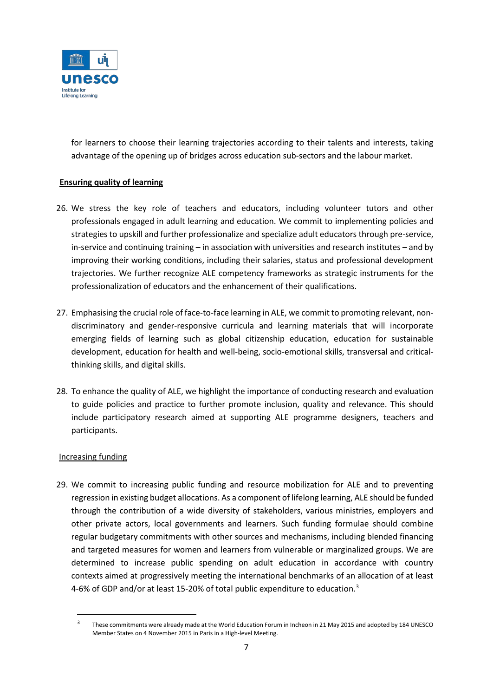

for learners to choose their learning trajectories according to their talents and interests, taking advantage of the opening up of bridges across education sub-sectors and the labour market.

# **Ensuring quality of learning**

- 26. We stress the key role of teachers and educators, including volunteer tutors and other professionals engaged in adult learning and education. We commit to implementing policies and strategies to upskill and further professionalize and specialize adult educators through pre-service, in-service and continuing training – in association with universities and research institutes – and by improving their working conditions, including their salaries, status and professional development trajectories. We further recognize ALE competency frameworks as strategic instruments for the professionalization of educators and the enhancement of their qualifications.
- 27. Emphasising the crucial role of face-to-face learning in ALE, we commit to promoting relevant, nondiscriminatory and gender-responsive curricula and learning materials that will incorporate emerging fields of learning such as global citizenship education, education for sustainable development, education for health and well-being, socio-emotional skills, transversal and criticalthinking skills, and digital skills.
- 28. To enhance the quality of ALE, we highlight the importance of conducting research and evaluation to guide policies and practice to further promote inclusion, quality and relevance. This should include participatory research aimed at supporting ALE programme designers, teachers and participants.

# Increasing funding

29. We commit to increasing public funding and resource mobilization for ALE and to preventing regression in existing budget allocations. As a component of lifelong learning, ALE should be funded through the contribution of a wide diversity of stakeholders, various ministries, employers and other private actors, local governments and learners. Such funding formulae should combine regular budgetary commitments with other sources and mechanisms, including blended financing and targeted measures for women and learners from vulnerable or marginalized groups. We are determined to increase public spending on adult education in accordance with country contexts aimed at progressively meeting the international benchmarks of an allocation of at least 4-6% of GDP and/or at least 15-20% of total public expenditure to education.<sup>[3](#page-6-0)</sup>

<span id="page-6-0"></span><sup>3</sup> These commitments were already made at the World Education Forum in Incheon in 21 May 2015 and adopted by 184 UNESCO Member States on 4 November 2015 in Paris in a High-level Meeting.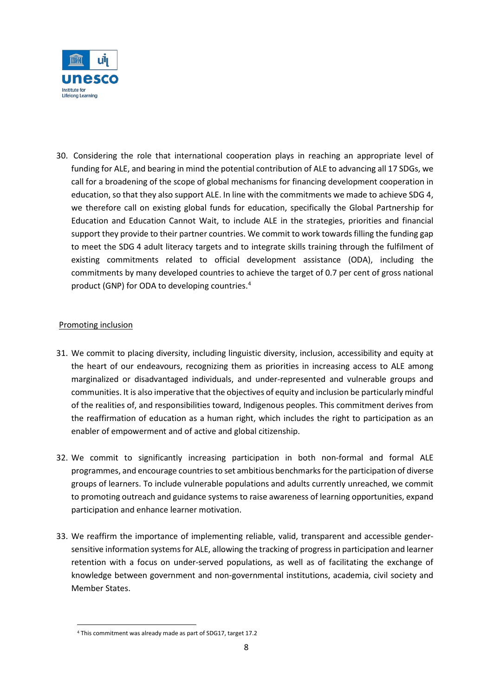

30. Considering the role that international cooperation plays in reaching an appropriate level of funding for ALE, and bearing in mind the potential contribution of ALE to advancing all 17 SDGs, we call for a broadening of the scope of global mechanisms for financing development cooperation in education, so that they also support ALE. In line with the commitments we made to achieve SDG 4, we therefore call on existing global funds for education, specifically the Global Partnership for Education and Education Cannot Wait, to include ALE in the strategies, priorities and financial support they provide to their partner countries. We commit to work towards filling the funding gap to meet the SDG 4 adult literacy targets and to integrate skills training through the fulfilment of existing commitments related to official development assistance (ODA), including the commitments by many developed countries to achieve the target of 0.7 per cent of gross national product (GNP) for ODA to developing countries.[4](#page-7-0)

# Promoting inclusion

- 31. We commit to placing diversity, including linguistic diversity, inclusion, accessibility and equity at the heart of our endeavours, recognizing them as priorities in increasing access to ALE among marginalized or disadvantaged individuals, and under-represented and vulnerable groups and communities. It is also imperative that the objectives of equity and inclusion be particularly mindful of the realities of, and responsibilities toward, Indigenous peoples. This commitment derives from the reaffirmation of education as a human right, which includes the right to participation as an enabler of empowerment and of active and global citizenship.
- 32. We commit to significantly increasing participation in both non-formal and formal ALE programmes, and encourage countries to set ambitious benchmarks for the participation of diverse groups of learners. To include vulnerable populations and adults currently unreached, we commit to promoting outreach and guidance systems to raise awareness of learning opportunities, expand participation and enhance learner motivation.
- 33. We reaffirm the importance of implementing reliable, valid, transparent and accessible gendersensitive information systems for ALE, allowing the tracking of progress in participation and learner retention with a focus on under-served populations, as well as of facilitating the exchange of knowledge between government and non-governmental institutions, academia, civil society and Member States.

<span id="page-7-0"></span><sup>4</sup> This commitment was already made as part of SDG17, target 17.2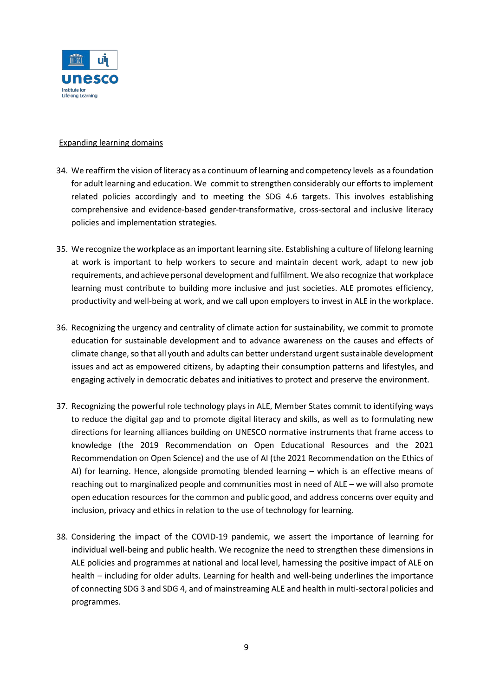

# Expanding learning domains

- 34. We reaffirm the vision of literacy as a continuum of learning and competency levels as a foundation for adult learning and education. We commit to strengthen considerably our efforts to implement related policies accordingly and to meeting the SDG 4.6 targets. This involves establishing comprehensive and evidence-based gender-transformative, cross-sectoral and inclusive literacy policies and implementation strategies.
- 35. We recognize the workplace as an important learning site. Establishing a culture of lifelong learning at work is important to help workers to secure and maintain decent work, adapt to new job requirements, and achieve personal development and fulfilment. We also recognize that workplace learning must contribute to building more inclusive and just societies. ALE promotes efficiency, productivity and well-being at work, and we call upon employers to invest in ALE in the workplace.
- 36. Recognizing the urgency and centrality of climate action for sustainability, we commit to promote education for sustainable development and to advance awareness on the causes and effects of climate change, so that all youth and adults can better understand urgent sustainable development issues and act as empowered citizens, by adapting their consumption patterns and lifestyles, and engaging actively in democratic debates and initiatives to protect and preserve the environment.
- 37. Recognizing the powerful role technology plays in ALE, Member States commit to identifying ways to reduce the digital gap and to promote digital literacy and skills, as well as to formulating new directions for learning alliances building on UNESCO normative instruments that frame access to knowledge (the 2019 Recommendation on Open Educational Resources and the 2021 Recommendation on Open Science) and the use of AI (the 2021 Recommendation on the Ethics of AI) for learning. Hence, alongside promoting blended learning – which is an effective means of reaching out to marginalized people and communities most in need of ALE – we will also promote open education resources for the common and public good, and address concerns over equity and inclusion, privacy and ethics in relation to the use of technology for learning.
- 38. Considering the impact of the COVID-19 pandemic, we assert the importance of learning for individual well-being and public health. We recognize the need to strengthen these dimensions in ALE policies and programmes at national and local level, harnessing the positive impact of ALE on health – including for older adults. Learning for health and well-being underlines the importance of connecting SDG 3 and SDG 4, and of mainstreaming ALE and health in multi-sectoral policies and programmes.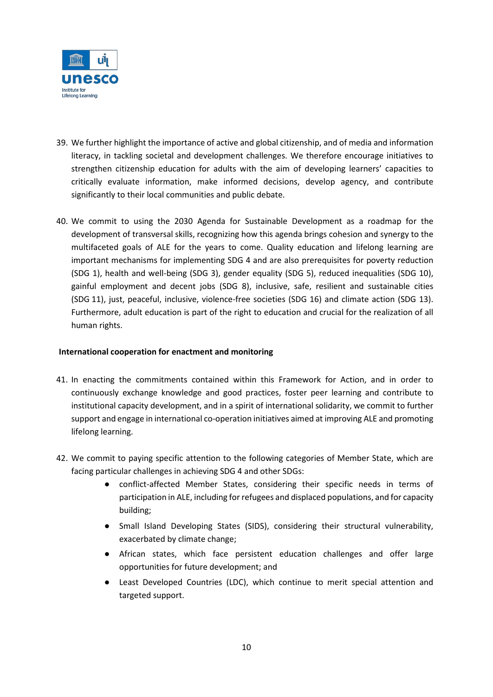

- 39. We further highlight the importance of active and global citizenship, and of media and information literacy, in tackling societal and development challenges. We therefore encourage initiatives to strengthen citizenship education for adults with the aim of developing learners' capacities to critically evaluate information, make informed decisions, develop agency, and contribute significantly to their local communities and public debate.
- 40. We commit to using the 2030 Agenda for Sustainable Development as a roadmap for the development of transversal skills, recognizing how this agenda brings cohesion and synergy to the multifaceted goals of ALE for the years to come. Quality education and lifelong learning are important mechanisms for implementing SDG 4 and are also prerequisites for poverty reduction (SDG 1), health and well-being (SDG 3), gender equality (SDG 5), reduced inequalities (SDG 10), gainful employment and decent jobs (SDG 8), inclusive, safe, resilient and sustainable cities (SDG 11), just, peaceful, inclusive, violence-free societies (SDG 16) and climate action (SDG 13). Furthermore, adult education is part of the right to education and crucial for the realization of all human rights.

# **International cooperation for enactment and monitoring**

- 41. In enacting the commitments contained within this Framework for Action, and in order to continuously exchange knowledge and good practices, foster peer learning and contribute to institutional capacity development, and in a spirit of international solidarity, we commit to further support and engage in international co-operation initiatives aimed at improving ALE and promoting lifelong learning.
- 42. We commit to paying specific attention to the following categories of Member State, which are facing particular challenges in achieving SDG 4 and other SDGs:
	- conflict-affected Member States, considering their specific needs in terms of participation in ALE, including for refugees and displaced populations, and for capacity building;
	- Small Island Developing States (SIDS), considering their structural vulnerability, exacerbated by climate change;
	- African states, which face persistent education challenges and offer large opportunities for future development; and
	- Least Developed Countries (LDC), which continue to merit special attention and targeted support.